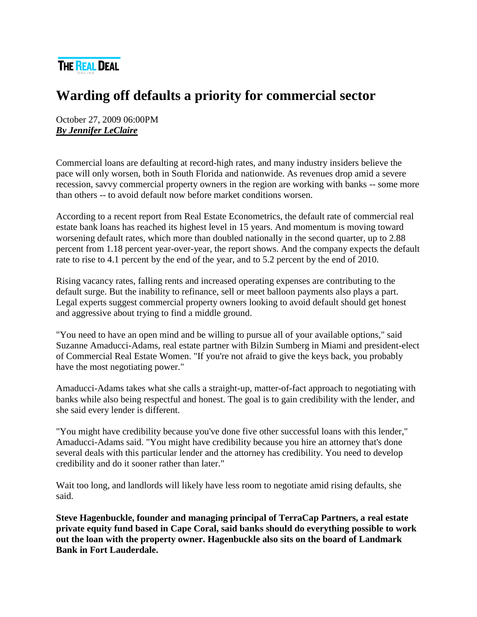

## **Warding off defaults a priority for commercial sector**

October 27, 2009 06:00PM *[By Jennifer LeClaire](http://therealdeal.net/looks/byq/Jennifer%20LeClaire)*

Commercial loans are defaulting at record-high rates, and many industry insiders believe the pace will only worsen, both in South Florida and nationwide. As revenues drop amid a severe recession, savvy commercial property owners in the region are working with banks -- some more than others -- to avoid default now before market conditions worsen.

According to a recent report from Real Estate Econometrics, the default rate of commercial real estate bank loans has reached its highest level in 15 years. And momentum is moving toward worsening default rates, which more than doubled nationally in the second quarter, up to 2.88 percent from 1.18 percent year-over-year, the report shows. And the company expects the default rate to rise to 4.1 percent by the end of the year, and to 5.2 percent by the end of 2010.

Rising vacancy rates, falling rents and increased operating expenses are contributing to the default surge. But the inability to refinance, sell or meet balloon payments also plays a part. Legal experts suggest commercial property owners looking to avoid default should get honest and aggressive about trying to find a middle ground.

"You need to have an open mind and be willing to pursue all of your available options," said Suzanne Amaducci-Adams, real estate partner with Bilzin Sumberg in Miami and president-elect of Commercial Real Estate Women. "If you're not afraid to give the keys back, you probably have the most negotiating power."

Amaducci-Adams takes what she calls a straight-up, matter-of-fact approach to negotiating with banks while also being respectful and honest. The goal is to gain credibility with the lender, and she said every lender is different.

"You might have credibility because you've done five other successful loans with this lender," Amaducci-Adams said. "You might have credibility because you hire an attorney that's done several deals with this particular lender and the attorney has credibility. You need to develop credibility and do it sooner rather than later."

Wait too long, and landlords will likely have less room to negotiate amid rising defaults, she said.

**Steve Hagenbuckle, founder and managing principal of TerraCap Partners, a real estate private equity fund based in Cape Coral, said banks should do everything possible to work out the loan with the property owner. Hagenbuckle also sits on the board of Landmark Bank in Fort Lauderdale.**